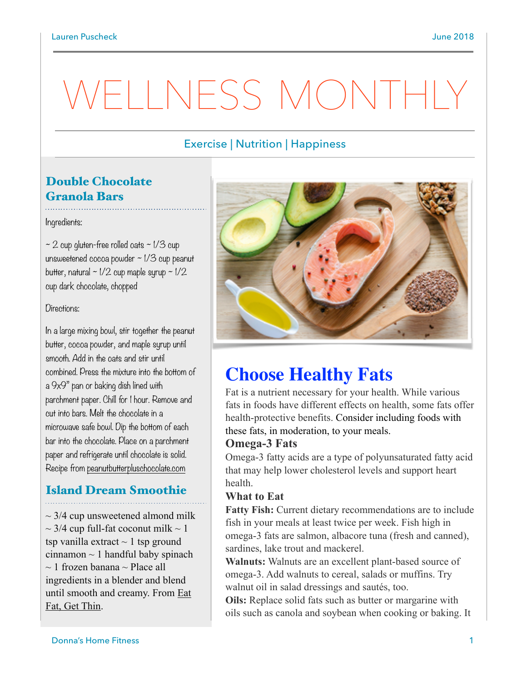# Exercise | Nutrition | Happiness

# Double Chocolate Granola Bars

#### Ingredients:

 $\sim$  2 cup gluten-free rolled oats  $\sim$  1/3 cup unsweetened cocoa powder  $\sim$  1/3 cup peanut butter, natural  $\sim$  1/2 cup maple syrup  $\sim$  1/2 cup dark chocolate, chopped

#### Directions:

In a large mixing bowl, stir together the peanut butter, cocoa powder, and maple syrup until smooth. Add in the oats and stir until combined. Press the mixture into the bottom of a 9x9" pan or baking dish lined with parchment paper. Chill for 1 hour. Remove and cut into bars. Melt the chocolate in a microwave safe bowl. Dip the bottom of each bar into the chocolate. Place on a parchment paper and refrigerate until chocolate is solid. Recipe from [peanutbutterpluschocolate.com](http://peanutbutterpluschocolate.com)

# Island Dream Smoothie

 $\sim$  3/4 cup unsweetened almond milk  $\sim$  3/4 cup full-fat coconut milk  $\sim$  1 tsp vanilla extract  $\sim$  1 tsp ground cinnamon  $\sim$  1 handful baby spinach  $\sim$  1 frozen banana  $\sim$  Place all ingredients in a blender and blend until smooth and creamy. From Eat Fat, Get Thin.



# **Choose Healthy Fats**

Fat is a nutrient necessary for your health. While various fats in foods have different effects on health, some fats offer [health-protective benefits. Consider including foods with](https://twitter.com/intent/tweet?text=Fat%20is%20a%20nutrient%20necessary%20for%20your%20health.%20Consider%20including%20foods%20with%20these%20fats,%20in%20moderation,%20to%20your%20meals.%20sm.eatright.org/healthyfats)  these fats, in moderation, to your meals.

### **Omega-3 Fats**

Omega-3 fatty acids are a type of polyunsaturated fatty acid that may help lower cholesterol levels and support heart health.

#### **What to Eat**

**Fatty Fish:** Current dietary recommendations are to include fish in your meals at least twice per week. Fish high in omega-3 fats are salmon, albacore tuna (fresh and canned), sardines, lake trout and mackerel.

**Walnuts:** Walnuts are an excellent plant-based source of omega-3. Add walnuts to cereal, salads or muffins. Try walnut oil in salad dressings and sautés, too.

**Oils:** Replace solid fats such as butter or margarine with oils such as canola and soybean when cooking or baking. It